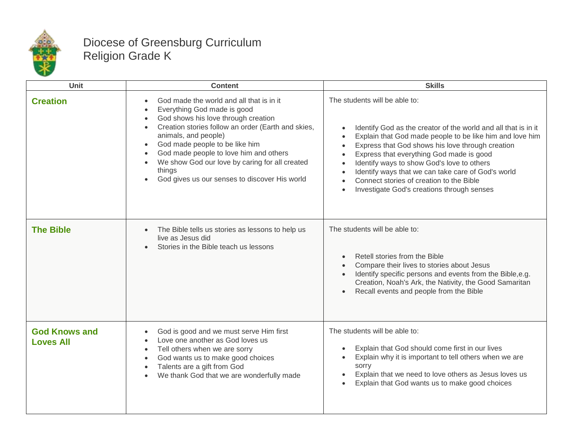

## Diocese of Greensburg Curriculum Religion Grade K

| Unit                                     | <b>Content</b>                                                                                                                                                                                                                                                                                                                                                                                                               | <b>Skills</b>                                                                                                                                                                                                                                                                                                                                                                                                                                                                       |
|------------------------------------------|------------------------------------------------------------------------------------------------------------------------------------------------------------------------------------------------------------------------------------------------------------------------------------------------------------------------------------------------------------------------------------------------------------------------------|-------------------------------------------------------------------------------------------------------------------------------------------------------------------------------------------------------------------------------------------------------------------------------------------------------------------------------------------------------------------------------------------------------------------------------------------------------------------------------------|
| <b>Creation</b>                          | God made the world and all that is in it<br>Everything God made is good<br>God shows his love through creation<br>$\bullet$<br>Creation stories follow an order (Earth and skies,<br>$\bullet$<br>animals, and people)<br>God made people to be like him<br>$\bullet$<br>God made people to love him and others<br>We show God our love by caring for all created<br>things<br>God gives us our senses to discover His world | The students will be able to:<br>Identify God as the creator of the world and all that is in it<br>Explain that God made people to be like him and love him<br>Express that God shows his love through creation<br>$\bullet$<br>Express that everything God made is good<br>Identify ways to show God's love to others<br>Identify ways that we can take care of God's world<br>$\bullet$<br>Connect stories of creation to the Bible<br>Investigate God's creations through senses |
| <b>The Bible</b>                         | The Bible tells us stories as lessons to help us<br>$\bullet$<br>live as Jesus did<br>Stories in the Bible teach us lessons                                                                                                                                                                                                                                                                                                  | The students will be able to:<br>Retell stories from the Bible<br>$\bullet$<br>Compare their lives to stories about Jesus<br>Identify specific persons and events from the Bible, e.g.<br>$\bullet$<br>Creation, Noah's Ark, the Nativity, the Good Samaritan<br>Recall events and people from the Bible                                                                                                                                                                            |
| <b>God Knows and</b><br><b>Loves All</b> | God is good and we must serve Him first<br>$\bullet$<br>Love one another as God loves us<br>$\bullet$<br>Tell others when we are sorry<br>$\bullet$<br>God wants us to make good choices<br>$\bullet$<br>Talents are a gift from God<br>$\bullet$<br>We thank God that we are wonderfully made<br>$\bullet$                                                                                                                  | The students will be able to:<br>Explain that God should come first in our lives<br>$\bullet$<br>Explain why it is important to tell others when we are<br>sorry<br>Explain that we need to love others as Jesus loves us<br>$\bullet$<br>Explain that God wants us to make good choices<br>$\bullet$                                                                                                                                                                               |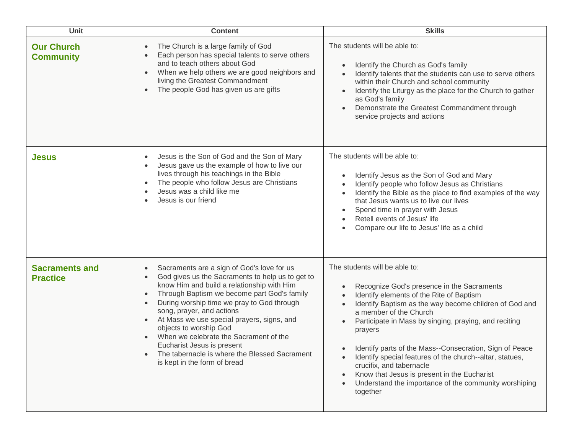| <b>Unit</b>                              | <b>Content</b>                                                                                                                                                                                                                                                                                                                                                                                                                                                                                                                                              | <b>Skills</b>                                                                                                                                                                                                                                                                                                                                                                                                                                                                                                                                          |
|------------------------------------------|-------------------------------------------------------------------------------------------------------------------------------------------------------------------------------------------------------------------------------------------------------------------------------------------------------------------------------------------------------------------------------------------------------------------------------------------------------------------------------------------------------------------------------------------------------------|--------------------------------------------------------------------------------------------------------------------------------------------------------------------------------------------------------------------------------------------------------------------------------------------------------------------------------------------------------------------------------------------------------------------------------------------------------------------------------------------------------------------------------------------------------|
| <b>Our Church</b><br><b>Community</b>    | The Church is a large family of God<br>$\bullet$<br>Each person has special talents to serve others<br>and to teach others about God<br>When we help others we are good neighbors and<br>$\bullet$<br>living the Greatest Commandment<br>The people God has given us are gifts                                                                                                                                                                                                                                                                              | The students will be able to:<br>Identify the Church as God's family<br>Identify talents that the students can use to serve others<br>within their Church and school community<br>Identify the Liturgy as the place for the Church to gather<br>as God's family<br>Demonstrate the Greatest Commandment through<br>service projects and actions                                                                                                                                                                                                        |
| <b>Jesus</b>                             | Jesus is the Son of God and the Son of Mary<br>$\bullet$<br>Jesus gave us the example of how to live our<br>$\bullet$<br>lives through his teachings in the Bible<br>The people who follow Jesus are Christians<br>$\bullet$<br>Jesus was a child like me<br>Jesus is our friend                                                                                                                                                                                                                                                                            | The students will be able to:<br>Identify Jesus as the Son of God and Mary<br>Identify people who follow Jesus as Christians<br>Identify the Bible as the place to find examples of the way<br>that Jesus wants us to live our lives<br>Spend time in prayer with Jesus<br>Retell events of Jesus' life<br>Compare our life to Jesus' life as a child                                                                                                                                                                                                  |
| <b>Sacraments and</b><br><b>Practice</b> | Sacraments are a sign of God's love for us<br>$\bullet$<br>God gives us the Sacraments to help us to get to<br>$\bullet$<br>know Him and build a relationship with Him<br>Through Baptism we become part God's family<br>$\bullet$<br>During worship time we pray to God through<br>song, prayer, and actions<br>At Mass we use special prayers, signs, and<br>objects to worship God<br>When we celebrate the Sacrament of the<br>Eucharist Jesus is present<br>The tabernacle is where the Blessed Sacrament<br>$\bullet$<br>is kept in the form of bread | The students will be able to:<br>Recognize God's presence in the Sacraments<br>Identify elements of the Rite of Baptism<br>Identify Baptism as the way become children of God and<br>a member of the Church<br>Participate in Mass by singing, praying, and reciting<br>prayers<br>Identify parts of the Mass--Consecration, Sign of Peace<br>Identify special features of the church--altar, statues,<br>crucifix, and tabernacle<br>Know that Jesus is present in the Eucharist<br>Understand the importance of the community worshiping<br>together |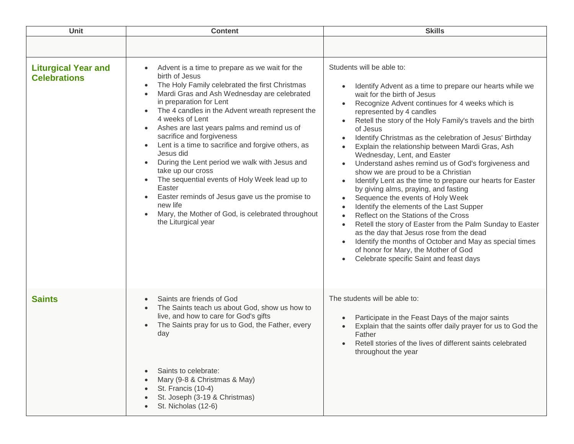| Students will be able to:<br><b>Liturgical Year and</b><br>Advent is a time to prepare as we wait for the<br>$\bullet$<br>birth of Jesus<br><b>Celebrations</b><br>The Holy Family celebrated the first Christmas<br>$\bullet$<br>$\bullet$<br>Mardi Gras and Ash Wednesday are celebrated<br>wait for the birth of Jesus<br>$\bullet$<br>in preparation for Lent<br>Recognize Advent continues for 4 weeks which is<br>$\bullet$<br>The 4 candles in the Advent wreath represent the<br>represented by 4 candles<br>$\bullet$<br>4 weeks of Lent<br>Ashes are last years palms and remind us of<br>of Jesus<br>$\bullet$<br>sacrifice and forgiveness<br>$\bullet$<br>Lent is a time to sacrifice and forgive others, as<br>$\bullet$<br>Explain the relationship between Mardi Gras, Ash<br>Jesus did<br>Wednesday, Lent, and Easter<br>During the Lent period we walk with Jesus and<br>$\bullet$<br>$\bullet$<br>take up our cross<br>show we are proud to be a Christian<br>The sequential events of Holy Week lead up to<br>$\bullet$<br>$\bullet$<br>Easter<br>by giving alms, praying, and fasting<br>Easter reminds of Jesus gave us the promise to<br>Sequence the events of Holy Week<br>$\bullet$<br>$\bullet$<br>new life<br>Identify the elements of the Last Supper<br>$\bullet$<br>Mary, the Mother of God, is celebrated throughout<br>$\bullet$<br>Reflect on the Stations of the Cross<br>$\bullet$<br>the Liturgical year<br>$\bullet$<br>as the day that Jesus rose from the dead | Unit | <b>Content</b> | <b>Skills</b>                                                                                                                                                                                                                                                                                                                                                                                                                                 |
|--------------------------------------------------------------------------------------------------------------------------------------------------------------------------------------------------------------------------------------------------------------------------------------------------------------------------------------------------------------------------------------------------------------------------------------------------------------------------------------------------------------------------------------------------------------------------------------------------------------------------------------------------------------------------------------------------------------------------------------------------------------------------------------------------------------------------------------------------------------------------------------------------------------------------------------------------------------------------------------------------------------------------------------------------------------------------------------------------------------------------------------------------------------------------------------------------------------------------------------------------------------------------------------------------------------------------------------------------------------------------------------------------------------------------------------------------------------------------------------------------------|------|----------------|-----------------------------------------------------------------------------------------------------------------------------------------------------------------------------------------------------------------------------------------------------------------------------------------------------------------------------------------------------------------------------------------------------------------------------------------------|
|                                                                                                                                                                                                                                                                                                                                                                                                                                                                                                                                                                                                                                                                                                                                                                                                                                                                                                                                                                                                                                                                                                                                                                                                                                                                                                                                                                                                                                                                                                        |      |                |                                                                                                                                                                                                                                                                                                                                                                                                                                               |
| of honor for Mary, the Mother of God<br>Celebrate specific Saint and feast days<br>$\bullet$                                                                                                                                                                                                                                                                                                                                                                                                                                                                                                                                                                                                                                                                                                                                                                                                                                                                                                                                                                                                                                                                                                                                                                                                                                                                                                                                                                                                           |      |                | Identify Advent as a time to prepare our hearts while we<br>Retell the story of the Holy Family's travels and the birth<br>Identify Christmas as the celebration of Jesus' Birthday<br>Understand ashes remind us of God's forgiveness and<br>Identify Lent as the time to prepare our hearts for Easter<br>Retell the story of Easter from the Palm Sunday to Easter<br>Identify the months of October and May as special times<br>$\bullet$ |
| The students will be able to:<br><b>Saints</b><br>Saints are friends of God<br>$\bullet$<br>The Saints teach us about God, show us how to<br>$\bullet$<br>live, and how to care for God's gifts<br>Participate in the Feast Days of the major saints<br>$\bullet$<br>The Saints pray for us to God, the Father, every<br>$\bullet$<br>$\bullet$<br>day<br>Father<br>Retell stories of the lives of different saints celebrated<br>$\bullet$<br>throughout the year<br>Saints to celebrate:<br>$\bullet$<br>Mary (9-8 & Christmas & May)<br>St. Francis (10-4)<br>St. Joseph (3-19 & Christmas)<br>St. Nicholas (12-6)                                                                                                                                                                                                                                                                                                                                                                                                                                                                                                                                                                                                                                                                                                                                                                                                                                                                                  |      |                | Explain that the saints offer daily prayer for us to God the                                                                                                                                                                                                                                                                                                                                                                                  |